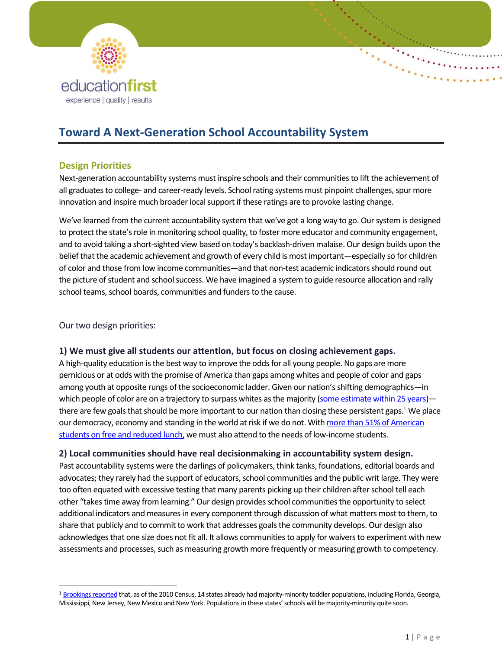

# **Toward A Next-Generation School Accountability System**

# **Design Priorities**

Next-generation accountability systems must inspire schools and their communities to lift the achievement of all graduates to college- and career-ready levels. School rating systems must pinpoint challenges, spur more innovation and inspire much broader local support if these ratings are to provoke lasting change.

We've learned from the current accountability system that we've got a long way to go. Our system is designed to protect the state's role in monitoring school quality, to foster more educator and community engagement, and to avoid taking a short-sighted view based on today's backlash-driven malaise. Our design builds upon the belief that the academic achievement and growth of every child is most important—especially so for children of color and those from low income communities—and that non-test academic indicators should round out the picture of student and school success. We have imagined a system to guide resource allocation and rally school teams, school boards, communities and funders to the cause.

Our two design priorities:

l

### **1) We must give all students our attention, but focus on closing achievement gaps.**

A high-quality education is the best way to improve the odds for all young people. No gaps are more pernicious or at odds with the promise of America than gaps among whites and people of color and gaps among youth at opposite rungs of the socioeconomic ladder. Given our nation's shifting demographics—in which people of color are on a trajectory to surpass whites as the majority (some estimate [within 25 years\)](http://www.brookings.edu/blogs/up-front/posts/2013/06/19-us-majority-minority-population-census-frey) there are few goals that should be more important to our nation than closing these persistent gaps.<sup>1</sup> We place our democracy, economy and standing in the world at risk if we do not. With [more than 51% of American](https://nces.ed.gov/programs/digest/d14/tables/dt14_204.10.asp)  [students on free and reduced lunch,](https://nces.ed.gov/programs/digest/d14/tables/dt14_204.10.asp) we must also attend to the needs of low-income students.

### **2) Local communities should have real decisionmaking in accountability system design.**

Past accountability systems were the darlings of policymakers, think tanks, foundations, editorial boards and advocates; they rarely had the support of educators, school communities and the public writ large. They were too often equated with excessive testing that many parents picking up their children after school tell each other "takes time away from learning." Our design provides school communities the opportunity to select additional indicators and measures in every component through discussion of what matters most to them, to share that publicly and to commit to work that addresses goals the community develops. Our design also acknowledges that one size does not fit all. It allows communities to apply for waivers to experiment with new assessments and processes, such as measuring growth more frequently or measuring growth to competency.

<sup>&</sup>lt;sup>1</sup> Brookings reported that, as of the 2010 Census, 14 states already had majority-minority toddler populations, including Florida, Georgia, Mississippi, New Jersey, New Mexico and New York. Populations in these states' schools will be majority-minority quite soon.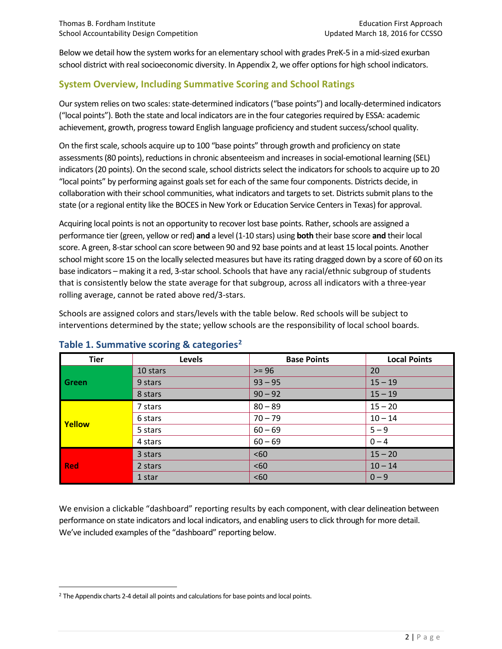Below we detail how the system works for an elementary school with grades PreK-5 in a mid-sized exurban school district with real socioeconomic diversity. In Appendix 2, we offer options for high school indicators.

# **System Overview, Including Summative Scoring and School Ratings**

Our system relies on two scales: state-determined indicators ("base points") and locally-determined indicators ("local points"). Both the state and local indicators are in the four categories required by ESSA: academic achievement, growth, progress toward English language proficiency and student success/school quality.

On the first scale, schools acquire up to 100 "base points" through growth and proficiency on state assessments (80 points), reductions in chronic absenteeism and increases in social-emotional learning (SEL) indicators (20 points). On the second scale, school districts select the indicators for schools to acquire up to 20 "local points" by performing against goals set for each of the same four components. Districts decide, in collaboration with their school communities, what indicators and targets to set. Districts submit plans to the state (or a regional entity like the BOCES in New York or Education Service Centers in Texas) for approval.

Acquiring local points is not an opportunity to recover lost base points. Rather, schools are assigned a performance tier (green, yellow or red) **and** a level (1-10 stars) using **both** their base score **and** their local score. A green, 8-star school can score between 90 and 92 base points and at least 15 local points. Another school might score 15 on the locally selected measures but have its rating dragged down by a score of 60 on its base indicators – making it a red, 3-star school. Schools that have any racial/ethnic subgroup of students that is consistently below the state average for that subgroup, across all indicators with a three-year rolling average, cannot be rated above red/3-stars.

Schools are assigned colors and stars/levels with the table below. Red schools will be subject to interventions determined by the state; yellow schools are the responsibility of local school boards.

| <b>Tier</b>   | Levels   | <b>Base Points</b> | <b>Local Points</b> |
|---------------|----------|--------------------|---------------------|
|               | 10 stars | $>= 96$            | 20                  |
| Green         | 9 stars  | $93 - 95$          | $15 - 19$           |
|               | 8 stars  | $90 - 92$          | $15 - 19$           |
| <b>Yellow</b> | 7 stars  | $80 - 89$          | $15 - 20$           |
|               | 6 stars  | $70 - 79$          | $10 - 14$           |
|               | 5 stars  | $60 - 69$          | $5 - 9$             |
|               | 4 stars  | $60 - 69$          | $0 - 4$             |
| <b>Red</b>    | 3 stars  | <60                | $15 - 20$           |
|               | 2 stars  | <60                | $10 - 14$           |
|               | 1 star   | < 60               | $0 - 9$             |

# **Table 1. Summative scoring & categories<sup>2</sup>**

We envision a clickable "dashboard" reporting results by each component, with clear delineation between performance on state indicators and local indicators, and enabling users to click through for more detail. We've included examples of the "dashboard" reporting below.

 $\overline{a}$ 

<sup>&</sup>lt;sup>2</sup> The Appendix charts 2-4 detail all points and calculations for base points and local points.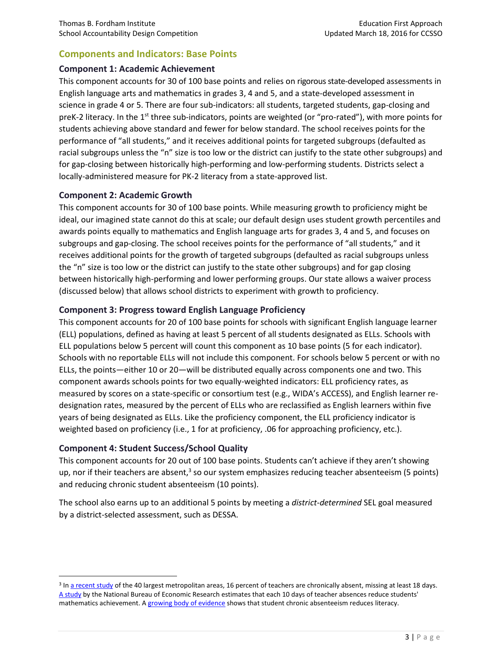# **Components and Indicators: Base Points**

### **Component 1: Academic Achievement**

This component accounts for 30 of 100 base points and relies on rigorous state-developed assessments in English language arts and mathematics in grades 3, 4 and 5, and a state-developed assessment in science in grade 4 or 5. There are four sub-indicators: all students, targeted students, gap-closing and preK-2 literacy. In the 1<sup>st</sup> three sub-indicators, points are weighted (or "pro-rated"), with more points for students achieving above standard and fewer for below standard. The school receives points for the performance of "all students," and it receives additional points for targeted subgroups (defaulted as racial subgroups unless the "n" size is too low or the district can justify to the state other subgroups) and for gap-closing between historically high-performing and low-performing students. Districts select a locally-administered measure for PK-2 literacy from a state-approved list.

### **Component 2: Academic Growth**

This component accounts for 30 of 100 base points. While measuring growth to proficiency might be ideal, our imagined state cannot do this at scale; our default design uses student growth percentiles and awards points equally to mathematics and English language arts for grades 3, 4 and 5, and focuses on subgroups and gap-closing. The school receives points for the performance of "all students," and it receives additional points for the growth of targeted subgroups (defaulted as racial subgroups unless the "n" size is too low or the district can justify to the state other subgroups) and for gap closing between historically high-performing and lower performing groups. Our state allows a waiver process (discussed below) that allows school districts to experiment with growth to proficiency.

### **Component 3: Progress toward English Language Proficiency**

This component accounts for 20 of 100 base points for schools with significant English language learner (ELL) populations, defined as having at least 5 percent of all students designated as ELLs. Schools with ELL populations below 5 percent will count this component as 10 base points (5 for each indicator). Schools with no reportable ELLs will not include this component. For schools below 5 percent or with no ELLs, the points—either 10 or 20—will be distributed equally across components one and two. This component awards schools points for two equally-weighted indicators: ELL proficiency rates, as measured by scores on a state-specific or consortium test (e.g., WIDA's ACCESS), and English learner redesignation rates, measured by the percent of ELLs who are reclassified as English learners within five years of being designated as ELLs. Like the proficiency component, the ELL proficiency indicator is weighted based on proficiency (i.e., 1 for at proficiency, .06 for approaching proficiency, etc.).

### **Component 4: Student Success/School Quality**

 $\overline{\phantom{a}}$ 

This component accounts for 20 out of 100 base points. Students can't achieve if they aren't showing up, nor if their teachers are absent,<sup>3</sup> so our system emphasizes reducing teacher absenteeism (5 points) and reducing chronic student absenteeism (10 points).

The school also earns up to an additional 5 points by meeting a *district-determined* SEL goal measured by a district-selected assessment, such as DESSA.

<sup>&</sup>lt;sup>3</sup> I[n a recent study](http://www.nctq.org/dmsView/RollCall_TeacherAttendance) of the 40 largest metropolitan areas, 16 percent of teachers are chronically absent, missing at least 18 days. [A study](http://www.nctq.org/nctq/research/1190910822841.pdf) by the National Bureau of Economic Research estimates that each 10 days of teacher absences reduce students' mathematics achievement. [A growing body of evidence](http://www.attendanceworks.org/wordpress/wp-content/uploads/2014/03/Attendance-in-the-Early-Grades.pdf) shows that student chronic absenteeism reduces literacy.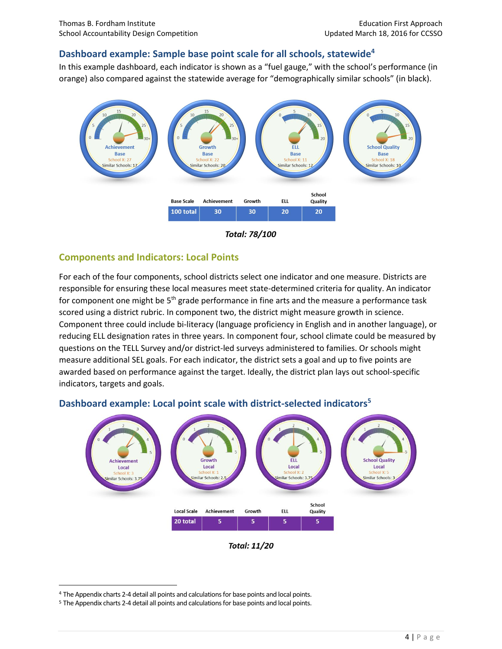### **Dashboard example: Sample base point scale for all schools, statewide<sup>4</sup>**

In this example dashboard, each indicator is shown as a "fuel gauge," with the school's performance (in orange) also compared against the statewide average for "demographically similar schools" (in black).



**Total: 78/100** 

### **Components and Indicators: Local Points**

For each of the four components, school districts select one indicator and one measure. Districts are responsible for ensuring these local measures meet state-determined criteria for quality. An indicator for component one might be 5<sup>th</sup> grade performance in fine arts and the measure a performance task scored using a district rubric. In component two, the district might measure growth in science. Component three could include bi-literacy (language proficiency in English and in another language), or reducing ELL designation rates in three years. In component four, school climate could be measured by questions on the TELL Survey and/or district-led surveys administered to families. Or schools might measure additional SEL goals. For each indicator, the district sets a goal and up to five points are awarded based on performance against the target. Ideally, the district plan lays out school-specific indicators, targets and goals.



# **Dashboard example: Local point scale with district-selected indicators<sup>5</sup>**



l

<sup>4</sup> The Appendix charts 2-4 detail all points and calculations for base points and local points.

<sup>5</sup> The Appendix charts 2-4 detail all points and calculations for base points and local points.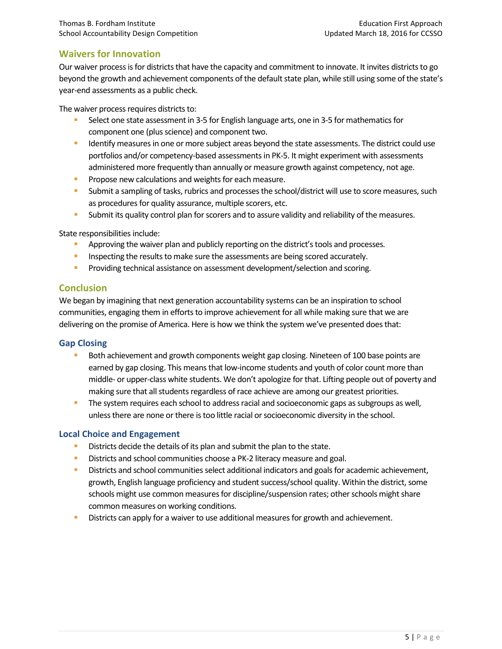# **Waivers for Innovation**

Our waiver process is for districts that have the capacity and commitment to innovate. It invites districts to go beyond the growth and achievement components of the default state plan, while still using some of the state's year-end assessments as a public check.

The waiver process requires districts to:

- Select one state assessment in 3-5 for English language arts, one in 3-5 for mathematics for component one (plus science) and component two.
- **IDED 19 IDENTIFY MEASURES 1** Tone or more subject areas beyond the state assessments. The district could use portfolios and/or competency-based assessmentsin PK-5. It might experiment with assessments administered more frequently than annually or measure growth against competency, not age.
- **Propose new calculations and weights for each measure.**
- Submit a sampling of tasks, rubrics and processes the school/district will use to score measures, such as procedures for quality assurance, multiple scorers, etc.
- **Submit its quality control plan for scorers and to assure validity and reliability of the measures.**

State responsibilities include:

- **Approving the waiver plan and publicly reporting on the district's tools and processes.**
- **Inspecting the results to make sure the assessments are being scored accurately.**
- Providing technical assistance on assessment development/selection and scoring.

### **Conclusion**

We began by imagining that next generation accountability systems can be an inspiration to school communities, engaging them in efforts to improve achievement for all while making sure that we are delivering on the promise of America. Here is how we think the system we've presented does that:

### **Gap Closing**

- Both achievement and growth components weight gap closing. Nineteen of 100 base points are earned by gap closing. This means that low-income students and youth of color count more than middle- or upper-class white students. We don't apologize for that. Lifting people out of poverty and making sure that all students regardless of race achieve are among our greatest priorities.
- The system requires each school to address racial and socioeconomic gaps as subgroups as well, unless there are none or there is too little racial or socioeconomic diversity in the school.

### **Local Choice and Engagement**

- Districts decide the details of its plan and submit the plan to the state.
- Districts and school communities choose a PK-2 literacy measure and goal.
- **Districts and school communities select additional indicators and goals for academic achievement,** growth, English language proficiency and student success/school quality. Within the district, some schools might use common measures for discipline/suspension rates; other schools might share common measures on working conditions.
- **Districts can apply for a waiver to use additional measures for growth and achievement.**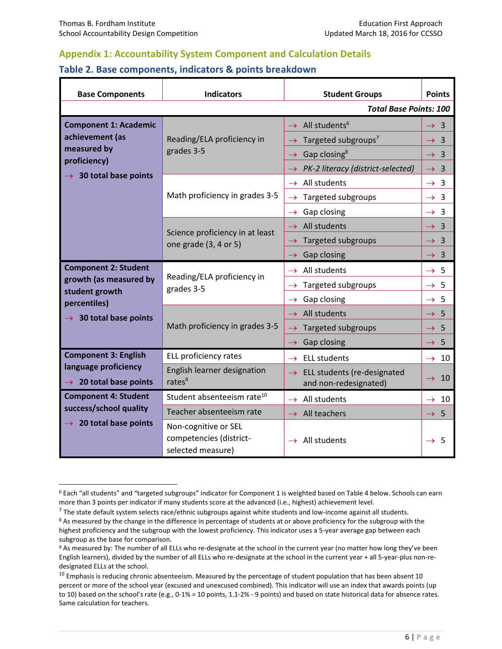$\overline{\phantom{a}}$ 

# **Appendix 1: Accountability System Component and Calculation Details**

### **Table 2. Base components, indicators & points breakdown**

| <b>Base Components</b>                                | <b>Indicators</b>                                                    | <b>Student Groups</b>                              | <b>Points</b>                            |  |
|-------------------------------------------------------|----------------------------------------------------------------------|----------------------------------------------------|------------------------------------------|--|
| <b>Total Base Points: 100</b>                         |                                                                      |                                                    |                                          |  |
| <b>Component 1: Academic</b>                          | Reading/ELA proficiency in<br>grades 3-5                             | $\rightarrow$ All students <sup>6</sup>            | $\rightarrow$ 3                          |  |
| achievement (as                                       |                                                                      | $\rightarrow$ Targeted subgroups <sup>7</sup>      | $\rightarrow$ 3                          |  |
| measured by<br>proficiency)                           |                                                                      | Gap closing <sup>8</sup><br>$\rightarrow$          | $\overline{3}$<br>$\rightarrow$          |  |
| $\rightarrow$ 30 total base points                    |                                                                      | PK-2 literacy (district-selected)<br>$\rightarrow$ | 3<br>$\rightarrow$                       |  |
|                                                       |                                                                      | $\rightarrow$ All students                         | $\rightarrow$ 3                          |  |
|                                                       | Math proficiency in grades 3-5                                       | Targeted subgroups<br>$\rightarrow$                | $\rightarrow$ 3                          |  |
|                                                       |                                                                      | Gap closing<br>$\rightarrow$                       | $\rightarrow$ 3                          |  |
|                                                       | Science proficiency in at least<br>one grade (3, 4 or 5)             | All students<br>$\rightarrow$                      | $\rightarrow$ 3                          |  |
|                                                       |                                                                      | Targeted subgroups<br>$\rightarrow$                | $\overline{\mathbf{3}}$<br>$\rightarrow$ |  |
|                                                       |                                                                      | Gap closing<br>$\rightarrow$                       | $\rightarrow$ 3                          |  |
| <b>Component 2: Student</b>                           | Reading/ELA proficiency in<br>grades 3-5                             | $\rightarrow$ All students                         | $\rightarrow$ 5                          |  |
| growth (as measured by<br>student growth              |                                                                      | Targeted subgroups<br>$\rightarrow$                | $\rightarrow$ 5                          |  |
| percentiles)                                          |                                                                      | Gap closing<br>$\rightarrow$                       | $\rightarrow$ 5                          |  |
| $\rightarrow$ 30 total base points                    | Math proficiency in grades 3-5                                       | $\rightarrow$ All students                         | 5<br>$\rightarrow$                       |  |
|                                                       |                                                                      | Targeted subgroups<br>$\rightarrow$                | $\rightarrow$ 5                          |  |
|                                                       |                                                                      | Gap closing<br>$\rightarrow$                       | 5<br>$\rightarrow$                       |  |
| <b>Component 3: English</b>                           | ELL proficiency rates                                                | <b>ELL students</b><br>$\rightarrow$               | $\rightarrow$ 10                         |  |
| language proficiency                                  | English learner designation                                          | ELL students (re-designated<br>$\rightarrow$       | $\rightarrow$ 10                         |  |
| $\rightarrow$ 20 total base points                    | rates $9$                                                            | and non-redesignated)                              |                                          |  |
| <b>Component 4: Student</b><br>success/school quality | Student absenteeism rate <sup>10</sup>                               | $\rightarrow$ All students                         | $\rightarrow$ 10                         |  |
| $\rightarrow$ 20 total base points                    | Teacher absenteeism rate                                             | $\rightarrow$ All teachers                         | 5<br>$\rightarrow$                       |  |
|                                                       | Non-cognitive or SEL<br>competencies (district-<br>selected measure) | $\rightarrow$ All students                         | $\rightarrow$ 5                          |  |

<sup>6</sup> Each "all students" and "targeted subgroups" indicator for Component 1 is weighted based on Table 4 below. Schools can earn more than 3 points per indicator if many students score at the advanced (i.e., highest) achievement level.

 $^7$  The state default system selects race/ethnic subgroups against white students and low-income against all students.

<sup>&</sup>lt;sup>8</sup> As measured by the change in the difference in percentage of students at or above proficiency for the subgroup with the highest proficiency and the subgroup with the lowest proficiency. This indicator uses a 5-year average gap between each subgroup as the base for comparison.

<sup>9</sup> As measured by: The number of all ELLs who re-designate at the school in the current year (no matter how long they've been English learners), divided by the number of all ELLs who re-designate at the school in the current year + all 5-year-plus non-redesignated ELLs at the school.

 $10$  Emphasis is reducing chronic absenteeism. Measured by the percentage of student population that has been absent 10 percent or more of the school year (excused and unexcused combined). This indicator will use an index that awards points (up to 10) based on the school's rate (e.g., 0-1% = 10 points, 1.1-2% - 9 points) and based on state historical data for absence rates. Same calculation for teachers.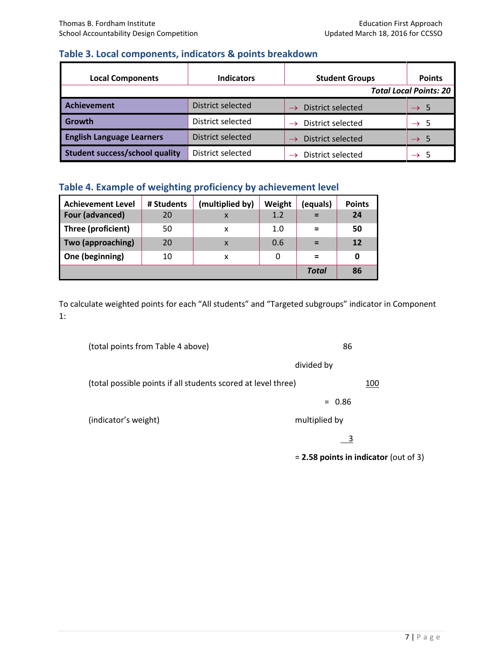# **Table 3. Local components, indicators & points breakdown**

| <b>Local Components</b>               | <b>Indicators</b>        | <b>Student Groups</b> | <b>Points</b><br><b>Total Local Points: 20</b> |
|---------------------------------------|--------------------------|-----------------------|------------------------------------------------|
|                                       |                          |                       |                                                |
| <b>Achievement</b>                    | District selected        | District selected     | $\rightarrow$ 5                                |
| Growth                                | District selected        | District selected     | - 5<br>$\rightarrow$                           |
| <b>English Language Learners</b>      | <b>District selected</b> | District selected     | -5<br>$\rightarrow$                            |
| <b>Student success/school quality</b> | District selected        | District selected     |                                                |

# **Table 4. Example of weighting proficiency by achievement level**

| <b>Achievement Level</b> | # Students | (multiplied by)           | Weight | (equals)     | <b>Points</b> |
|--------------------------|------------|---------------------------|--------|--------------|---------------|
| Four (advanced)          | 20         | X                         | 1.2    | $=$          | 24            |
| Three (proficient)       | 50         | x                         | 1.0    | $\equiv$     | 50            |
| Two (approaching)        | 20         | $\boldsymbol{\mathsf{x}}$ | 0.6    | $=$          | 12            |
| One (beginning)          | 10         | x                         |        | $=$          | 0             |
|                          |            |                           |        | <b>Total</b> | 86            |

To calculate weighted points for each "All students" and "Targeted subgroups" indicator in Component 1:

| (total points from Table 4 above)                             | 86            |     |
|---------------------------------------------------------------|---------------|-----|
|                                                               | divided by    |     |
| (total possible points if all students scored at level three) |               | 100 |
|                                                               | $= 0.86$      |     |
| (indicator's weight)                                          | multiplied by |     |
|                                                               |               |     |

= **2.58 points in indicator** (out of 3)